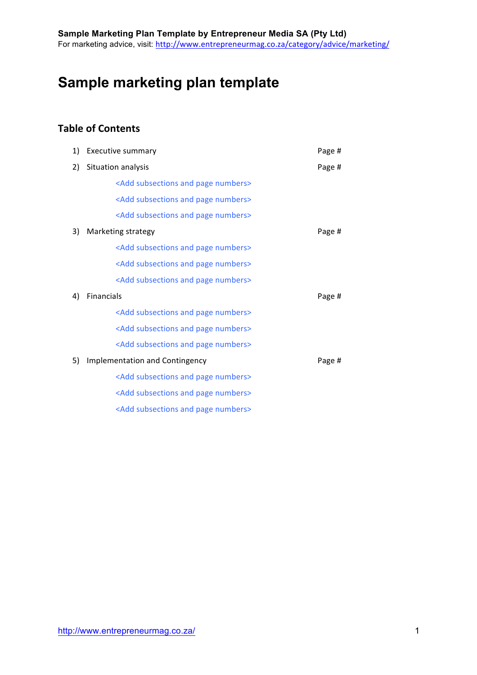# **Sample marketing plan template**

# **Table of Contents**

| 1) | <b>Executive summary</b>                             | Page # |
|----|------------------------------------------------------|--------|
| 2) | Situation analysis                                   | Page # |
|    | <add and="" numbers="" page="" subsections=""></add> |        |
|    | <add and="" numbers="" page="" subsections=""></add> |        |
|    | <add and="" numbers="" page="" subsections=""></add> |        |
| 3) | Marketing strategy                                   | Page # |
|    | <add and="" numbers="" page="" subsections=""></add> |        |
|    | <add and="" numbers="" page="" subsections=""></add> |        |
|    | <add and="" numbers="" page="" subsections=""></add> |        |
| 4) | Financials                                           | Page # |
|    | <add and="" numbers="" page="" subsections=""></add> |        |
|    | <add and="" numbers="" page="" subsections=""></add> |        |
|    | <add and="" numbers="" page="" subsections=""></add> |        |
| 5) | <b>Implementation and Contingency</b>                | Page # |
|    | <add and="" numbers="" page="" subsections=""></add> |        |
|    | <add and="" numbers="" page="" subsections=""></add> |        |
|    | <add and="" numbers="" page="" subsections=""></add> |        |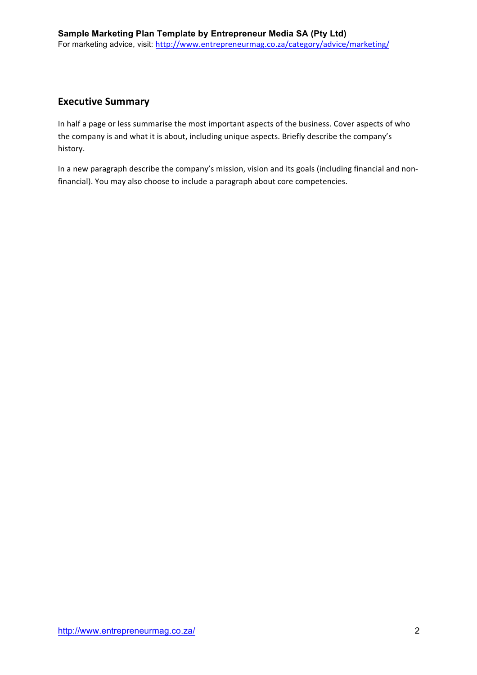### **Executive Summary**

In half a page or less summarise the most important aspects of the business. Cover aspects of who the company is and what it is about, including unique aspects. Briefly describe the company's history.

In a new paragraph describe the company's mission, vision and its goals (including financial and nonfinancial). You may also choose to include a paragraph about core competencies.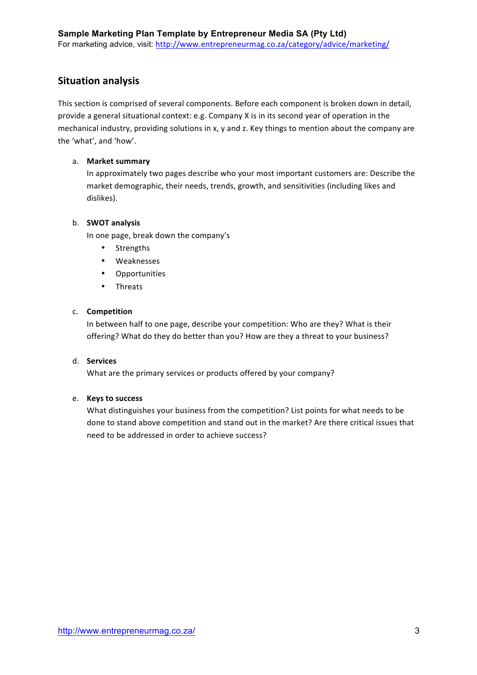### **Situation analysis**

This section is comprised of several components. Before each component is broken down in detail, provide a general situational context: e.g. Company X is in its second year of operation in the mechanical industry, providing solutions in x, y and z. Key things to mention about the company are the 'what', and 'how'.

#### a. **Market summary**

In approximately two pages describe who your most important customers are: Describe the market demographic, their needs, trends, growth, and sensitivities (including likes and dislikes).

#### b. **SWOT** analysis

In one page, break down the company's

- Strengths
- Weaknesses
- Opportunities
- Threats

#### c. **Competition**

In between half to one page, describe your competition: Who are they? What is their offering? What do they do better than you? How are they a threat to your business?

#### d. **Services**

What are the primary services or products offered by your company?

#### e. **Keys to success**

What distinguishes your business from the competition? List points for what needs to be done to stand above competition and stand out in the market? Are there critical issues that need to be addressed in order to achieve success?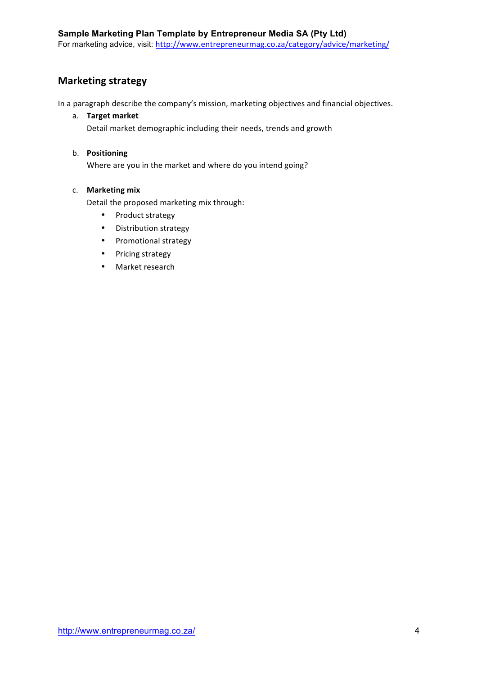## **Marketing strategy**

In a paragraph describe the company's mission, marketing objectives and financial objectives.

a. **Target market** 

Detail market demographic including their needs, trends and growth

#### b. **Positioning!**

Where are you in the market and where do you intend going?

#### c. **Marketing mix**

Detail the proposed marketing mix through:

- Product strategy
- Distribution strategy
- Promotional strategy
- Pricing strategy
- Market research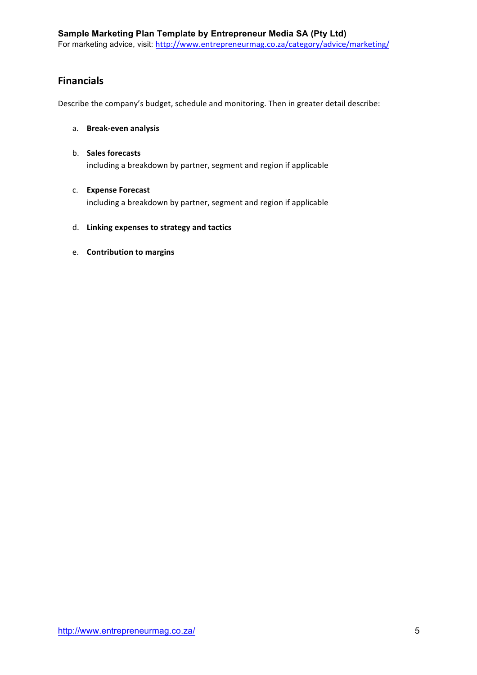### **Financials**

Describe the company's budget, schedule and monitoring. Then in greater detail describe:

- a. **Break-even analysis**
- b. **Sales forecasts** including a breakdown by partner, segment and region if applicable

#### c. **Expense!Forecast**

including a breakdown by partner, segment and region if applicable

- d. Linking expenses to strategy and tactics
- e. **Contribution to margins**